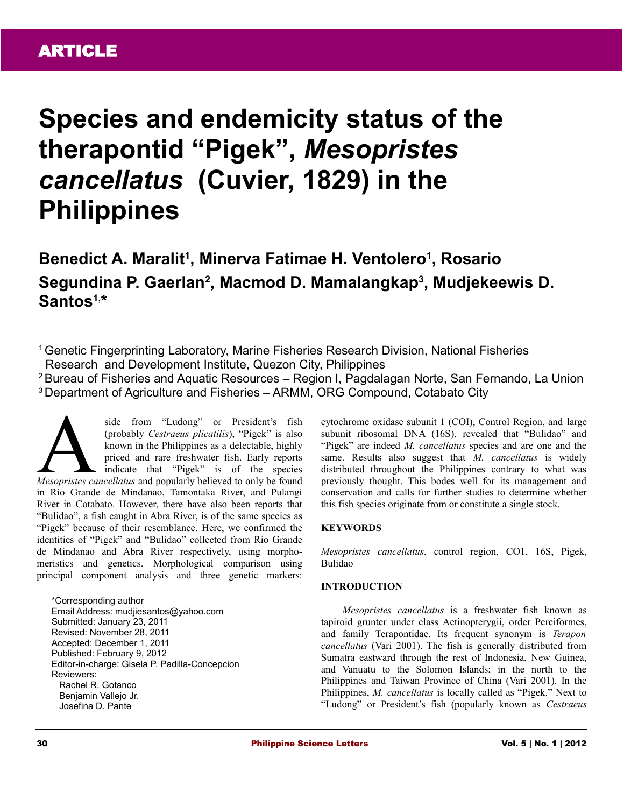# **Species and endemicity status of the therapontid "Pigek",** *Mesopristes cancellatus* **(Cuvier, 1829) in the Philippines**

# **Benedict A. Maralit<sup>1</sup> , Minerva Fatimae H. Ventolero<sup>1</sup> , Rosario Segundina P. Gaerlan<sup>2</sup> , Macmod D. Mamalangkap<sup>3</sup> , Mudjekeewis D. Santos1, \***

<sup>1</sup>Genetic Fingerprinting Laboratory, Marine Fisheries Research Division, National Fisheries Research and Development Institute, Quezon City, Philippines

<sup>2</sup> Bureau of Fisheries and Aquatic Resources – Region I, Pagdalagan Norte, San Fernando, La Union <sup>3</sup>Department of Agriculture and Fisheries – ARMM, ORG Compound, Cotabato City

side from "Ludong" or President's fish (probably *Cestraeus plicatilis*), "Pigek" is also known in the Philippines as a delectable, highly priced and rare freshwater fish. Early reports indicate that "Pigek" is of the species side from "Ludong" or President's fish<br>(probably *Cestraeus plicatilis*), "Pigek" is also<br>known in the Philippines as a delectable, highly<br>priced and rare freshwater fish. Early reports<br>indicate that "Pigek" is of the spec in Rio Grande de Mindanao, Tamontaka River, and Pulangi River in Cotabato. However, there have also been reports that "Bulidao", a fish caught in Abra River, is of the same species as "Pigek" because of their resemblance. Here, we confirmed the identities of "Pigek" and "Bulidao" collected from Rio Grande de Mindanao and Abra River respectively, using morphomeristics and genetics. Morphological comparison using principal component analysis and three genetic markers:

\*Corresponding author Email Address: mudjiesantos@yahoo.com Submitted: January 23, 2011 Revised: November 28, 2011 Accepted: December 1, 2011 Published: February 9, 2012 Editor-in-charge: Gisela P. Padilla-Concepcion Reviewers: Rachel R. Gotanco Benjamin Vallejo Jr. Josefina D. Pante

cytochrome oxidase subunit 1 (COI), Control Region, and large subunit ribosomal DNA (16S), revealed that "Bulidao" and "Pigek" are indeed *M. cancellatus* species and are one and the same. Results also suggest that *M. cancellatus* is widely distributed throughout the Philippines contrary to what was previously thought. This bodes well for its management and conservation and calls for further studies to determine whether this fish species originate from or constitute a single stock.

### **KEYWORDS**

*Mesopristes cancellatus*, control region, CO1, 16S, Pigek, Bulidao

#### **INTRODUCTION**

*Mesopristes cancellatus* is a freshwater fish known as tapiroid grunter under class Actinopterygii, order Perciformes, and family Terapontidae. Its frequent synonym is *Terapon cancellatus* (Vari 2001). The fish is generally distributed from Sumatra eastward through the rest of Indonesia, New Guinea, and Vanuatu to the Solomon Islands; in the north to the Philippines and Taiwan Province of China (Vari 2001). In the Philippines, *M. cancellatus* is locally called as "Pigek." Next to "Ludong" or President's fish (popularly known as *Cestraeus*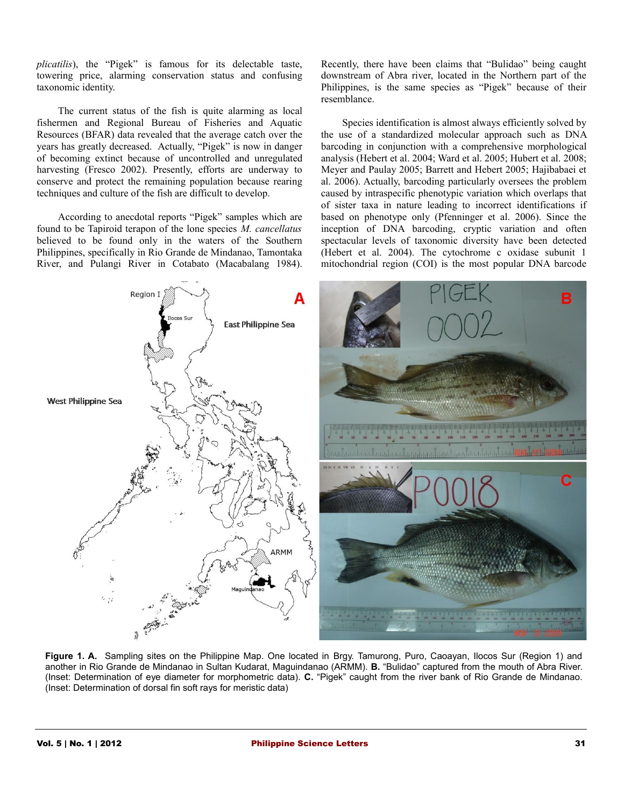*plicatilis*), the "Pigek" is famous for its delectable taste, towering price, alarming conservation status and confusing taxonomic identity.

The current status of the fish is quite alarming as local fishermen and Regional Bureau of Fisheries and Aquatic Resources (BFAR) data revealed that the average catch over the years has greatly decreased. Actually, "Pigek" is now in danger of becoming extinct because of uncontrolled and unregulated harvesting (Fresco 2002). Presently, efforts are underway to conserve and protect the remaining population because rearing techniques and culture of the fish are difficult to develop.

According to anecdotal reports "Pigek" samples which are found to be Tapiroid terapon of the lone species *M. cancellatus* believed to be found only in the waters of the Southern Philippines, specifically in Rio Grande de Mindanao, Tamontaka River, and Pulangi River in Cotabato (Macabalang 1984).

Recently, there have been claims that "Bulidao" being caught downstream of Abra river, located in the Northern part of the Philippines, is the same species as "Pigek" because of their resemblance.

Species identification is almost always efficiently solved by the use of a standardized molecular approach such as DNA barcoding in conjunction with a comprehensive morphological analysis (Hebert et al. 2004; Ward et al. 2005; Hubert et al. 2008; Meyer and Paulay 2005; Barrett and Hebert 2005; Hajibabaei et al. 2006). Actually, barcoding particularly oversees the problem caused by intraspecific phenotypic variation which overlaps that of sister taxa in nature leading to incorrect identifications if based on phenotype only (Pfenninger et al. 2006). Since the inception of DNA barcoding, cryptic variation and often spectacular levels of taxonomic diversity have been detected (Hebert et al. 2004). The cytochrome c oxidase subunit 1 mitochondrial region (COI) is the most popular DNA barcode



**Figure 1. A.** Sampling sites on the Philippine Map. One located in Brgy. Tamurong, Puro, Caoayan, Ilocos Sur (Region 1) and another in Rio Grande de Mindanao in Sultan Kudarat, Maguindanao (ARMM). **B.** "Bulidao" captured from the mouth of Abra River. (Inset: Determination of eye diameter for morphometric data). **C.** "Pigek" caught from the river bank of Rio Grande de Mindanao. (Inset: Determination of dorsal fin soft rays for meristic data)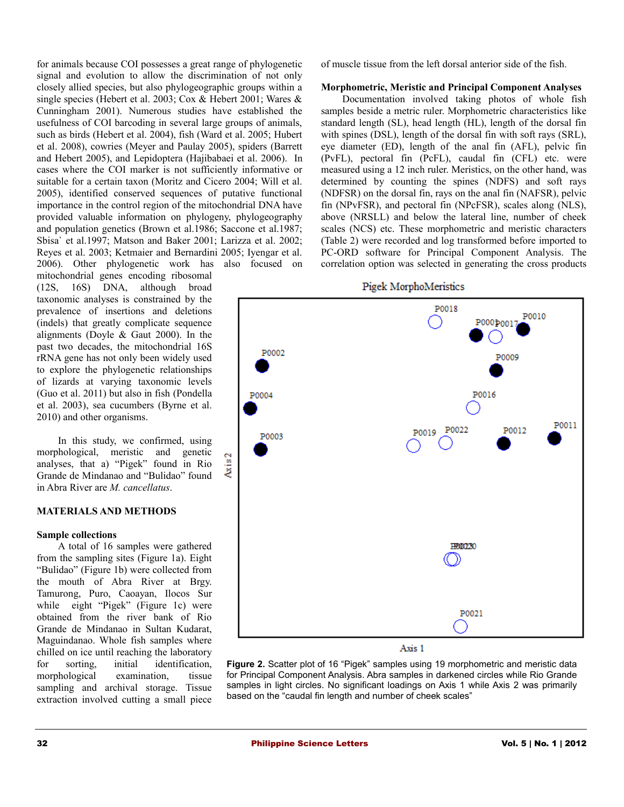for animals because COI possesses a great range of phylogenetic signal and evolution to allow the discrimination of not only closely allied species, but also phylogeographic groups within a single species (Hebert et al. 2003; Cox & Hebert 2001; Wares & Cunningham 2001). Numerous studies have established the usefulness of COI barcoding in several large groups of animals, such as birds (Hebert et al. 2004), fish (Ward et al. 2005; Hubert et al. 2008), cowries (Meyer and Paulay 2005), spiders (Barrett and Hebert 2005), and Lepidoptera (Hajibabaei et al. 2006). In cases where the COI marker is not sufficiently informative or suitable for a certain taxon (Moritz and Cicero 2004; Will et al. 2005), identified conserved sequences of putative functional importance in the control region of the mitochondrial DNA have provided valuable information on phylogeny, phylogeography and population genetics (Brown et al.1986; Saccone et al.1987; Sbisa` et al.1997; Matson and Baker 2001; Larizza et al. 2002; Reyes et al. 2003; Ketmaier and Bernardini 2005; Iyengar et al.

2006). Other phylogenetic work has also focused on mitochondrial genes encoding ribosomal (12S, 16S) DNA, although broad taxonomic analyses is constrained by the prevalence of insertions and deletions (indels) that greatly complicate sequence alignments (Doyle & Gaut 2000). In the past two decades, the mitochondrial 16S rRNA gene has not only been widely used to explore the phylogenetic relationships of lizards at varying taxonomic levels (Guo et al. 2011) but also in fish (Pondella et al. 2003), sea cucumbers (Byrne et al. 2010) and other organisms.

In this study, we confirmed, using morphological, meristic and genetic analyses, that a) "Pigek" found in Rio Grande de Mindanao and "Bulidao" found in Abra River are *M. cancellatus*.

#### **MATERIALS AND METHODS**

#### **Sample collections**

A total of 16 samples were gathered from the sampling sites (Figure 1a). Eight "Bulidao" (Figure 1b) were collected from the mouth of Abra River at Brgy. Tamurong, Puro, Caoayan, Ilocos Sur while eight "Pigek" (Figure 1c) were obtained from the river bank of Rio Grande de Mindanao in Sultan Kudarat, Maguindanao. Whole fish samples where chilled on ice until reaching the laboratory for sorting, initial identification, morphological examination, tissue sampling and archival storage. Tissue extraction involved cutting a small piece

of muscle tissue from the left dorsal anterior side of the fish.

#### **Morphometric, Meristic and Principal Component Analyses**

Documentation involved taking photos of whole fish samples beside a metric ruler. Morphometric characteristics like standard length (SL), head length (HL), length of the dorsal fin with spines (DSL), length of the dorsal fin with soft rays (SRL), eye diameter (ED), length of the anal fin (AFL), pelvic fin (PvFL), pectoral fin (PcFL), caudal fin (CFL) etc. were measured using a 12 inch ruler. Meristics, on the other hand, was determined by counting the spines (NDFS) and soft rays (NDFSR) on the dorsal fin, rays on the anal fin (NAFSR), pelvic fin (NPvFSR), and pectoral fin (NPcFSR), scales along (NLS), above (NRSLL) and below the lateral line, number of cheek scales (NCS) etc. These morphometric and meristic characters (Table 2) were recorded and log transformed before imported to PC-ORD software for Principal Component Analysis. The correlation option was selected in generating the cross products





#### Axis 1

**Figure 2.** Scatter plot of 16 "Pigek" samples using 19 morphometric and meristic data for Principal Component Analysis. Abra samples in darkened circles while Rio Grande samples in light circles. No significant loadings on Axis 1 while Axis 2 was primarily based on the "caudal fin length and number of cheek scales"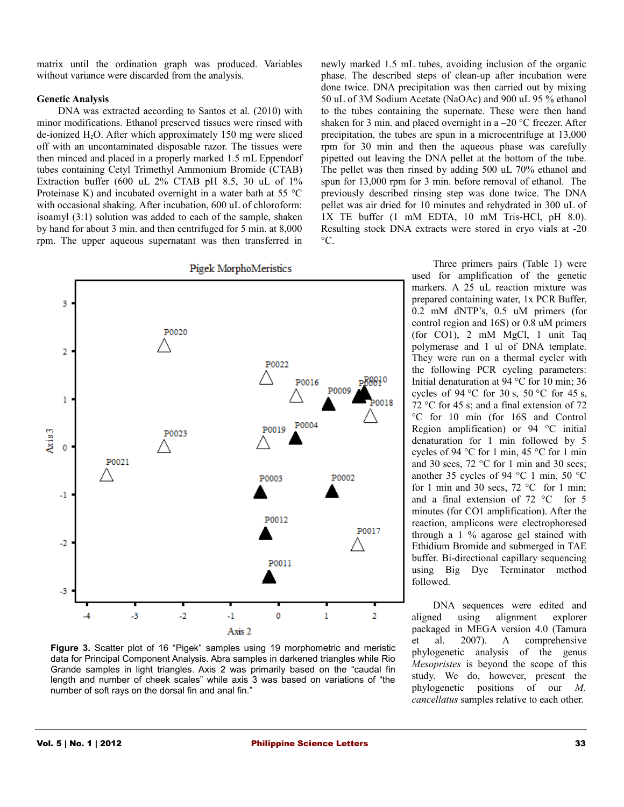matrix until the ordination graph was produced. Variables without variance were discarded from the analysis.

#### **Genetic Analysis**

DNA was extracted according to Santos et al. (2010) with minor modifications. Ethanol preserved tissues were rinsed with de-ionized  $H_2O$ . After which approximately 150 mg were sliced off with an uncontaminated disposable razor. The tissues were then minced and placed in a properly marked 1.5 mL Eppendorf tubes containing Cetyl Trimethyl Ammonium Bromide (CTAB) Extraction buffer (600 uL 2% CTAB pH 8.5, 30 uL of 1% Proteinase K) and incubated overnight in a water bath at 55 °C with occasional shaking. After incubation, 600 uL of chloroform: isoamyl (3:1) solution was added to each of the sample, shaken by hand for about 3 min. and then centrifuged for 5 min. at 8,000 rpm. The upper aqueous supernatant was then transferred in



**Figure 3.** Scatter plot of 16 "Pigek" samples using 19 morphometric and meristic data for Principal Component Analysis. Abra samples in darkened triangles while Rio Grande samples in light triangles. Axis 2 was primarily based on the "caudal fin length and number of cheek scales" while axis 3 was based on variations of "the number of soft rays on the dorsal fin and anal fin."

newly marked 1.5 mL tubes, avoiding inclusion of the organic phase. The described steps of clean-up after incubation were done twice. DNA precipitation was then carried out by mixing 50 uL of 3M Sodium Acetate (NaOAc) and 900 uL 95 % ethanol to the tubes containing the supernate. These were then hand shaken for 3 min. and placed overnight in a  $-20$  °C freezer. After precipitation, the tubes are spun in a microcentrifuge at 13,000 rpm for 30 min and then the aqueous phase was carefully pipetted out leaving the DNA pellet at the bottom of the tube. The pellet was then rinsed by adding 500 uL 70% ethanol and spun for 13,000 rpm for 3 min. before removal of ethanol. The previously described rinsing step was done twice. The DNA pellet was air dried for 10 minutes and rehydrated in 300 uL of 1X TE buffer (1 mM EDTA, 10 mM Tris-HCl, pH 8.0). Resulting stock DNA extracts were stored in cryo vials at -20  $^{\circ}C$ .

> Three primers pairs (Table 1) were used for amplification of the genetic markers. A 25 uL reaction mixture was prepared containing water, 1x PCR Buffer, 0.2 mM dNTP's, 0.5 uM primers (for control region and 16S) or 0.8 uM primers (for CO1), 2 mM MgCl, 1 unit Taq polymerase and 1 ul of DNA template. They were run on a thermal cycler with the following PCR cycling parameters: Initial denaturation at 94 °C for 10 min; 36 cycles of 94 °C for 30 s, 50 °C for 45 s, 72 °C for 45 s; and a final extension of 72 °C for 10 min (for 16S and Control Region amplification) or 94 °C initial denaturation for 1 min followed by 5 cycles of 94 °C for 1 min, 45 °C for 1 min and 30 secs, 72 °C for 1 min and 30 secs; another 35 cycles of 94 °C 1 min, 50 °C for 1 min and 30 secs, 72  $\degree$ C for 1 min; and a final extension of 72 °C for 5 minutes (for CO1 amplification). After the reaction, amplicons were electrophoresed through a 1 % agarose gel stained with Ethidium Bromide and submerged in TAE buffer. Bi-directional capillary sequencing using Big Dye Terminator method followed.

DNA sequences were edited and aligned using alignment explorer packaged in MEGA version 4.0 (Tamura et al. 2007). A comprehensive phylogenetic analysis of the genus *Mesopristes* is beyond the scope of this study. We do, however, present the phylogenetic positions of our *M. cancellatus* samples relative to each other.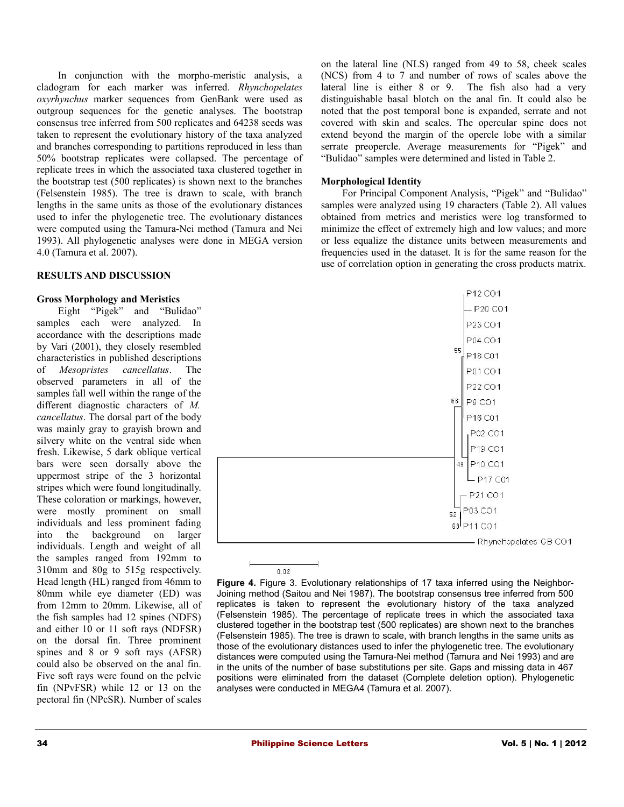In conjunction with the morpho-meristic analysis, a cladogram for each marker was inferred. *Rhynchopelates oxyrhynchus* marker sequences from GenBank were used as outgroup sequences for the genetic analyses. The bootstrap consensus tree inferred from 500 replicates and 64238 seeds was taken to represent the evolutionary history of the taxa analyzed and branches corresponding to partitions reproduced in less than 50% bootstrap replicates were collapsed. The percentage of replicate trees in which the associated taxa clustered together in the bootstrap test (500 replicates) is shown next to the branches (Felsenstein 1985). The tree is drawn to scale, with branch lengths in the same units as those of the evolutionary distances used to infer the phylogenetic tree. The evolutionary distances were computed using the Tamura-Nei method (Tamura and Nei 1993). All phylogenetic analyses were done in MEGA version 4.0 (Tamura et al. 2007).

#### **RESULTS AND DISCUSSION**

#### **Gross Morphology and Meristics**

Eight "Pigek" and "Bulidao" samples each were analyzed. In accordance with the descriptions made by Vari (2001), they closely resembled characteristics in published descriptions of *Mesopristes cancellatus*. The observed parameters in all of the samples fall well within the range of the different diagnostic characters of *M. cancellatus*. The dorsal part of the body was mainly gray to grayish brown and silvery white on the ventral side when fresh. Likewise, 5 dark oblique vertical bars were seen dorsally above the uppermost stripe of the 3 horizontal stripes which were found longitudinally. These coloration or markings, however, were mostly prominent on small individuals and less prominent fading into the background on larger individuals. Length and weight of all the samples ranged from 192mm to 310mm and 80g to 515g respectively. Head length (HL) ranged from 46mm to 80mm while eye diameter (ED) was from 12mm to 20mm. Likewise, all of the fish samples had 12 spines (NDFS) and either 10 or 11 soft rays (NDFSR) on the dorsal fin. Three prominent spines and 8 or 9 soft rays (AFSR) could also be observed on the anal fin. Five soft rays were found on the pelvic fin (NPvFSR) while 12 or 13 on the pectoral fin (NPcSR). Number of scales

on the lateral line (NLS) ranged from 49 to 58, cheek scales (NCS) from 4 to 7 and number of rows of scales above the lateral line is either 8 or 9. The fish also had a very distinguishable basal blotch on the anal fin. It could also be noted that the post temporal bone is expanded, serrate and not covered with skin and scales. The opercular spine does not extend beyond the margin of the opercle lobe with a similar serrate preopercle. Average measurements for "Pigek" and "Bulidao" samples were determined and listed in Table 2.

#### **Morphological Identity**

For Principal Component Analysis, "Pigek" and "Bulidao" samples were analyzed using 19 characters (Table 2). All values obtained from metrics and meristics were log transformed to minimize the effect of extremely high and low values; and more or less equalize the distance units between measurements and frequencies used in the dataset. It is for the same reason for the use of correlation option in generating the cross products matrix.



**Figure 4.** Figure 3. Evolutionary relationships of 17 taxa inferred using the Neighbor-Joining method (Saitou and Nei 1987). The bootstrap consensus tree inferred from 500 replicates is taken to represent the evolutionary history of the taxa analyzed (Felsenstein 1985). The percentage of replicate trees in which the associated taxa clustered together in the bootstrap test (500 replicates) are shown next to the branches (Felsenstein 1985). The tree is drawn to scale, with branch lengths in the same units as those of the evolutionary distances used to infer the phylogenetic tree. The evolutionary distances were computed using the Tamura-Nei method (Tamura and Nei 1993) and are in the units of the number of base substitutions per site. Gaps and missing data in 467 positions were eliminated from the dataset (Complete deletion option). Phylogenetic analyses were conducted in MEGA4 (Tamura et al. 2007).

 $0.02$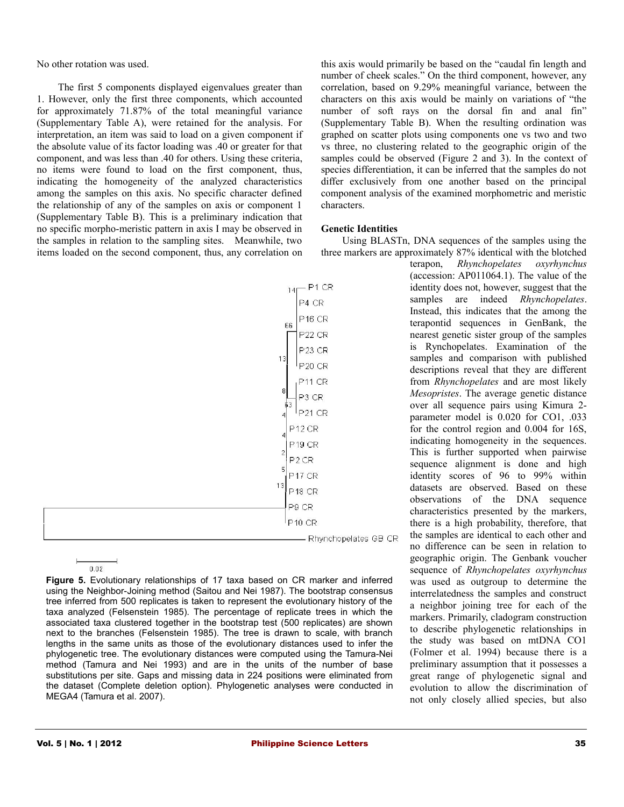No other rotation was used.

The first 5 components displayed eigenvalues greater than 1. However, only the first three components, which accounted for approximately 71.87% of the total meaningful variance (Supplementary Table A), were retained for the analysis. For interpretation, an item was said to load on a given component if the absolute value of its factor loading was .40 or greater for that component, and was less than .40 for others. Using these criteria, no items were found to load on the first component, thus, indicating the homogeneity of the analyzed characteristics among the samples on this axis. No specific character defined the relationship of any of the samples on axis or component 1 (Supplementary Table B). This is a preliminary indication that no specific morpho-meristic pattern in axis I may be observed in the samples in relation to the sampling sites. Meanwhile, two items loaded on the second component, thus, any correlation on

 $-$  P1 CR P4 CR P<sub>16</sub> CR  $P22 CR$  $P23 CR$  $1_{P20}$  CR  $P21CR$ P<sub>12</sub> CR  $P19CR$ P<sub>2</sub>CR P<sub>17</sub> CR P<sub>18</sub> CR P9 CR **P10 CR** - Rhynchopelates GB CR

**Figure 5.** Evolutionary relationships of 17 taxa based on CR marker and inferred using the Neighbor-Joining method (Saitou and Nei 1987). The bootstrap consensus tree inferred from 500 replicates is taken to represent the evolutionary history of the taxa analyzed (Felsenstein 1985). The percentage of replicate trees in which the associated taxa clustered together in the bootstrap test (500 replicates) are shown next to the branches (Felsenstein 1985). The tree is drawn to scale, with branch lengths in the same units as those of the evolutionary distances used to infer the phylogenetic tree. The evolutionary distances were computed using the Tamura-Nei method (Tamura and Nei 1993) and are in the units of the number of base substitutions per site. Gaps and missing data in 224 positions were eliminated from the dataset (Complete deletion option). Phylogenetic analyses were conducted in MEGA4 (Tamura et al. 2007).

this axis would primarily be based on the "caudal fin length and number of cheek scales." On the third component, however, any correlation, based on 9.29% meaningful variance, between the characters on this axis would be mainly on variations of "the number of soft rays on the dorsal fin and anal fin" (Supplementary Table B). When the resulting ordination was graphed on scatter plots using components one vs two and two vs three, no clustering related to the geographic origin of the samples could be observed (Figure 2 and 3). In the context of species differentiation, it can be inferred that the samples do not differ exclusively from one another based on the principal component analysis of the examined morphometric and meristic characters.

# **Genetic Identities**

Using BLASTn, DNA sequences of the samples using the three markers are approximately 87% identical with the blotched

terapon, *Rhynchopelates oxyrhynchus* (accession: AP011064.1). The value of the identity does not, however, suggest that the samples are indeed *Rhynchopelates*. Instead, this indicates that the among the terapontid sequences in GenBank, the nearest genetic sister group of the samples is Rynchopelates. Examination of the samples and comparison with published descriptions reveal that they are different from *Rhynchopelates* and are most likely *Mesopristes*. The average genetic distance over all sequence pairs using Kimura 2 parameter model is 0.020 for CO1, .033 for the control region and 0.004 for 16S, indicating homogeneity in the sequences. This is further supported when pairwise sequence alignment is done and high identity scores of 96 to 99% within datasets are observed. Based on these observations of the DNA sequence characteristics presented by the markers, there is a high probability, therefore, that the samples are identical to each other and no difference can be seen in relation to geographic origin. The Genbank voucher sequence of *Rhynchopelates oxyrhynchus* was used as outgroup to determine the interrelatedness the samples and construct a neighbor joining tree for each of the markers. Primarily, cladogram construction to describe phylogenetic relationships in the study was based on mtDNA CO1 (Folmer et al. 1994) because there is a preliminary assumption that it possesses a great range of phylogenetic signal and evolution to allow the discrimination of not only closely allied species, but also

 $0.02$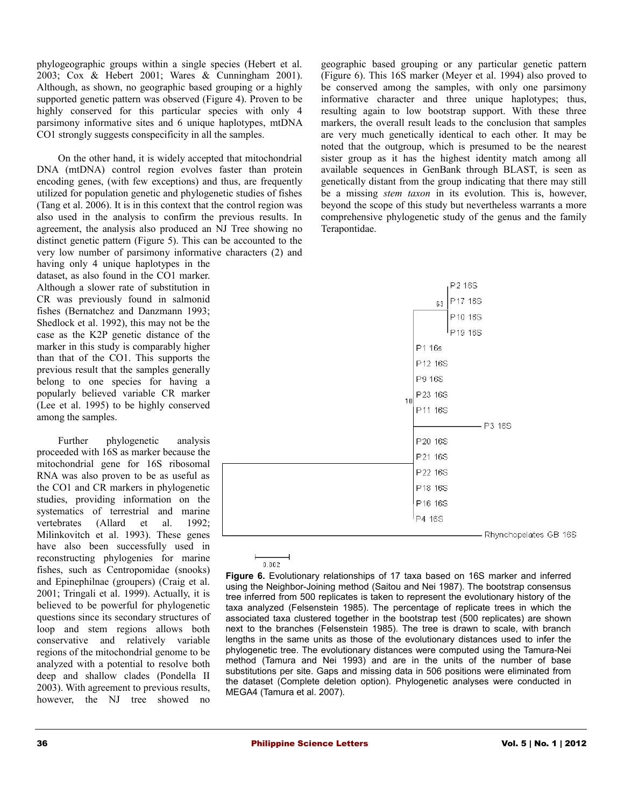phylogeographic groups within a single species (Hebert et al. 2003; Cox & Hebert 2001; Wares & Cunningham 2001). Although, as shown, no geographic based grouping or a highly supported genetic pattern was observed (Figure 4). Proven to be highly conserved for this particular species with only 4 parsimony informative sites and 6 unique haplotypes, mtDNA CO1 strongly suggests conspecificity in all the samples.

On the other hand, it is widely accepted that mitochondrial DNA (mtDNA) control region evolves faster than protein encoding genes, (with few exceptions) and thus, are frequently utilized for population genetic and phylogenetic studies of fishes (Tang et al. 2006). It is in this context that the control region was also used in the analysis to confirm the previous results. In agreement, the analysis also produced an NJ Tree showing no distinct genetic pattern (Figure 5). This can be accounted to the very low number of parsimony informative characters (2) and

having only 4 unique haplotypes in the dataset, as also found in the CO1 marker. Although a slower rate of substitution in CR was previously found in salmonid fishes (Bernatchez and Danzmann 1993; Shedlock et al. 1992), this may not be the case as the K2P genetic distance of the marker in this study is comparably higher than that of the CO1. This supports the previous result that the samples generally belong to one species for having a popularly believed variable CR marker (Lee et al. 1995) to be highly conserved among the samples.

Further phylogenetic analysis proceeded with 16S as marker because the mitochondrial gene for 16S ribosomal RNA was also proven to be as useful as the CO1 and CR markers in phylogenetic studies, providing information on the systematics of terrestrial and marine vertebrates (Allard et al. 1992; Milinkovitch et al. 1993). These genes have also been successfully used in reconstructing phylogenies for marine fishes, such as Centropomidae (snooks) and Epinephilnae (groupers) (Craig et al. 2001; Tringali et al. 1999). Actually, it is believed to be powerful for phylogenetic questions since its secondary structures of loop and stem regions allows both conservative and relatively variable regions of the mitochondrial genome to be analyzed with a potential to resolve both deep and shallow clades (Pondella II 2003). With agreement to previous results, however, the NJ tree showed no

geographic based grouping or any particular genetic pattern (Figure 6). This 16S marker (Meyer et al. 1994) also proved to be conserved among the samples, with only one parsimony informative character and three unique haplotypes; thus, resulting again to low bootstrap support. With these three markers, the overall result leads to the conclusion that samples are very much genetically identical to each other. It may be noted that the outgroup, which is presumed to be the nearest sister group as it has the highest identity match among all available sequences in GenBank through BLAST, is seen as genetically distant from the group indicating that there may still be a missing *stem taxon* in its evolution. This is, however, beyond the scope of this study but nevertheless warrants a more comprehensive phylogenetic study of the genus and the family Terapontidae.



 $0.002$ 

**Figure 6.** Evolutionary relationships of 17 taxa based on 16S marker and inferred using the Neighbor-Joining method (Saitou and Nei 1987). The bootstrap consensus tree inferred from 500 replicates is taken to represent the evolutionary history of the taxa analyzed (Felsenstein 1985). The percentage of replicate trees in which the associated taxa clustered together in the bootstrap test (500 replicates) are shown next to the branches (Felsenstein 1985). The tree is drawn to scale, with branch lengths in the same units as those of the evolutionary distances used to infer the phylogenetic tree. The evolutionary distances were computed using the Tamura-Nei method (Tamura and Nei 1993) and are in the units of the number of base substitutions per site. Gaps and missing data in 506 positions were eliminated from the dataset (Complete deletion option). Phylogenetic analyses were conducted in MEGA4 (Tamura et al. 2007).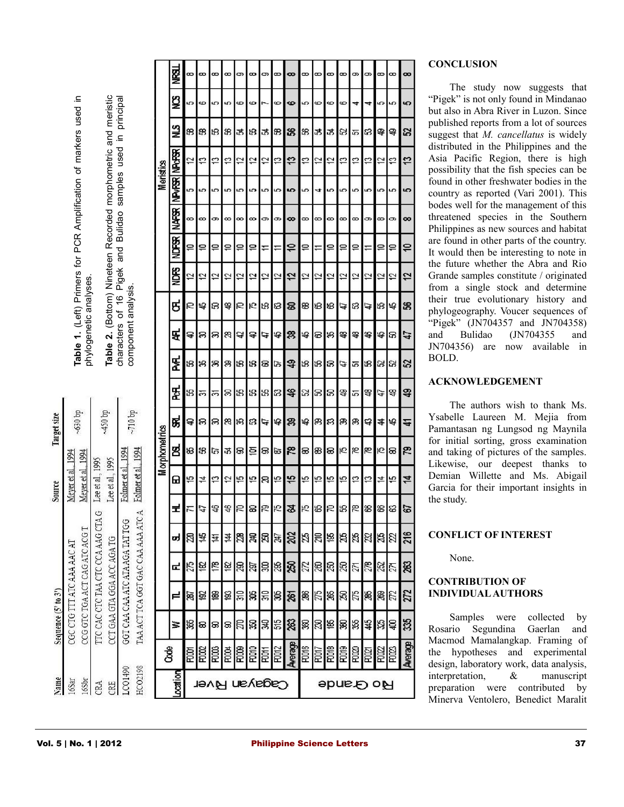mplification of markers used in A  $_{\rm C}^{\rm K}$ **Table 1.** (Left) Primers for P phylogenetic analyses. phylogenetic analyses. Table 2. (Bottom) Nineteen Recorded morphometric and meristic<br>characters of 16 Pigek and Buildao samples used in principal **Table 2.** (Bottom) Nineteen Recorded morphometric and meristic characters of 16 Pigek and Bulidao samples used in principal component analysis. component analysis.

450 bp

 $~10~b$ p

Folmer et al., 1994

GGT CAA CAA ATC ATA AGA TAT TGG

LCO1490

CCT GAA GTA GGA ACC AGA TG

 $\ddot{ }$ 

Lee et al., 1995 Lee et al., 1995

TTC CAC CTC TAA CTC CCA AAG CTA G

CCG GTC TGA ACT CAG ATC ACG T

CGC CTG TTT ATC AAA AAC AT

Sequence  $(5'$  to  $3'$ )

Vame 6Sar 6Sbr CRA CRE

 $-630$  bp

Meyer et al., 1994 Meyer et al., 1994

Target size

Source

|                                 | Meristics<br><b>Morphometrics</b> | 쪟            | œ                    | $\infty$       | $\infty$       | $\infty$ | 9              | $\infty$    | 9           | $\infty$        | $\infty$ | $\infty$ | $\infty$   | 8        | $\infty$ | 9             | 9           | $\infty$ | $\infty$    | $\infty$ |
|---------------------------------|-----------------------------------|--------------|----------------------|----------------|----------------|----------|----------------|-------------|-------------|-----------------|----------|----------|------------|----------|----------|---------------|-------------|----------|-------------|----------|
|                                 |                                   | ଞ୍ଚ          | 5                    | 6              | 5              | 5        | $\circ$        | ô           | I           | $\circ$         | ဖ        | 5        | ô          | ô        | $\circ$  | 4             | 4           | ю        | 5           | မာ       |
|                                 |                                   | ≌            | 38                   | 98             | 58             | æ        | 忑              | 78          | 24          | 33              | ន        | B        | 罖          | \$       | 23       | హ             | S.          | 孚        | ₽           | ន        |
|                                 |                                   | NP&BR        | 12                   | $\overline{c}$ | 13             | 13       | 12             | 12          | 12          | 13              | 13       | 13       | 12         | 12       | 53       | 53            | 13          | 12       | 53          | ⋍        |
|                                 |                                   | <b>NPVER</b> | 5                    | 5              | 5              | 5        | 5              | 5           | 5           | 5               | 5        | 5        | 4          | 5        | 5        | 5             | 5           | 5        | 5           | 5        |
|                                 |                                   | <b>NAFSR</b> | œ                    | œ              | ග              | œ        | œ              | œ           | c           | ာ               | $\infty$ | ∞        | $\infty$   | $\infty$ | $\infty$ | $\infty$      | ග           | $\infty$ | ග           | 8        |
|                                 |                                   | NDE86        | ₽                    | ₽              | ₽              | ₽        | $\cong$        | ₽           | ∓           | ∓               | ₽        | ₽        |            | ₽        | ₽        | ₽             | ≓           | ₽        | ₽           | ₽        |
|                                 |                                   | ይ<br>የ       | 2                    | 51             | 51             | 57       | 51             | 12          | 51          | 51              | 12       | 12       | 2          | 12       | 12       | 2             | 12          | ₽        | 57          | 12       |
|                                 |                                   | ಕ            | R                    | 母              | ន              | 母        | Б              | Ю           | 18          | 83              | ຂ        | 88       | 88         | 88       | Þ        | នេ            | A           | 18       | 母           | ន        |
|                                 |                                   | ቺ            | ੩                    | B              | ສ              | 8        | Ą              | a           | 47          | 母               | జ        | 母        | 8          | श्लु     | 粵        | 岛             | \$          | 母        | ន           | 47       |
|                                 |                                   | ጄ            | នេ                   | 铝              | 88             | ఇ        | 58             | 18          | ෂ           | চি              | \$       | 18       | 53         | ន        | 47       | ù5            | 58          | ន        | នេ          | ន        |
|                                 |                                   | <u>ጅ</u>     | 13                   | ᢆ              | ᢛ              | z        | 55             | 73          | 55          | ន               | \$       | 23       | z          | 3        | S.       | 应             | a.          | 47       | い           | 孚        |
|                                 |                                   | ಜ            | ₽                    | ສ              | ສ              | 8        | æ,             | នេ          | 47          | 45              | ఇ        | 母        | இ          | 3        | ஜ        | ஜ             | द           | \$       | 芯           | 근        |
| - 1994                          |                                   | g            | ₩                    | 8              | ক্র            | 忑        | ន              | 흐           | 8           | ಹ               | జ        | 8        | 88         | 8        | 15       | 罔             | ۴           | Ю        | ଛ           | ౘ        |
| romer et al                     |                                   | ⊞            | 15                   | 호              | ₽              | 57       | fö             | 15          | R           | 45              | چ        | 15       | 5          | 15       | 15       | 13            | 13          | 4        | 15          | 4        |
| 4                               |                                   | 로            | ㅈ                    | 47             | $\mathfrak{B}$ | a,       | S              | 응           | 52          | 52              | Z        | 75       |            | 13 원     | 73       | $\frac{8}{2}$ | 8           | œ        | အ           | 5        |
| TAA ACT TCA GGT GAC CAA AAA ATC |                                   | ರ            | $\boxtimes$          | 总              | 草              | 큨        | $\mathbb{Z}^2$ | Ж           | R,          | 247             | 202      | Ä        | <b>210</b> | 96       | 26       | 235           | 22          | 26       | $\boxtimes$ | 216      |
|                                 |                                   | œ            | 275                  | 182            | $\frac{1}{8}$  |          | $\frac{8}{8}$  | 297         | 8           | 285             | 250      | 272      | 280        | 250      | 250      | 271           | 278         | 252      | 271         | 263      |
|                                 |                                   | ᄇ            | 87                   | 92             | ĝ.             | ĝ        | $\frac{1}{30}$ | æ           | 310         | R               | 261      | 286      | 275        | 265      | R        | 275           | 285         | æ,       | 272         | 272      |
|                                 |                                   | ≊            | 365                  | 8              | 8              | នន្      |                | <b>BS</b>   | æ           | 515             | 263      | V        |            | 88       | R        | 355           | 45          | 325      | ੩           | 335      |
|                                 | රී                                |              | ROOT                 | <b>POOC</b>    | <b>PDDD3</b>   | ROO4     | R008           | <b>DDDR</b> | <b>ROTT</b> | R0012           | Average  | PDD16    | POOT7      | ROOB     | RDD19    | <b>ROOD</b>   | <b>ROZT</b> | ROZZ     | ROCC        | Average  |
| HCO2198                         | Location                          |              | <b>Cagayan River</b> |                |                |          |                |             |             | <b>Ro Gande</b> |          |          |            |          |          |               |             |          |             |          |

# **CONCLUSION**

The study now suggests that "Pigek" is not only found in Mindanao but also in Abra River in Luzon. Since published reports from a lot of sources suggest that *M. cancellatus* is widely distributed in the Philippines and the Asia Pacific Region, there is high possibility that the fish species can be found in other freshwater bodies in the country as reported (Vari 2001). This bodes well for the management of this threatened species in the Southern Philippines as new sources and habitat are found in other parts of the country. It would then be interesting to note in the future whether the Abra and Rio Grande samples constitute / originated from a single stock and determine their true evolutionary history and phylogeography. Voucer sequences of "Pigek" (JN704357 and JN704358) and Bulidao (JN704355 and JN704356) are now available in BOLD.

# **ACKNOWLEDGEMENT**

The authors wish to thank Ms. Ysabelle Laureen M. Mejia from Pamantasan ng Lungsod ng Maynila for initial sorting, gross examination and taking of pictures of the samples. Likewise, our deepest thanks to Demian Willette and Ms. Abigail Garcia for their important insights in the study.

# **CONFLICT OF INTEREST**

None.

# **CONTRIBUTION OF INDIVIDUAL AUTHORS**

Samples were collected by Rosario Segundina Gaerlan and Macmod Mamalangkap. Framing of the hypotheses and experimental design, laboratory work, data analysis, interpretation, & manuscript preparation were contributed by Minerva Ventolero, Benedict Maralit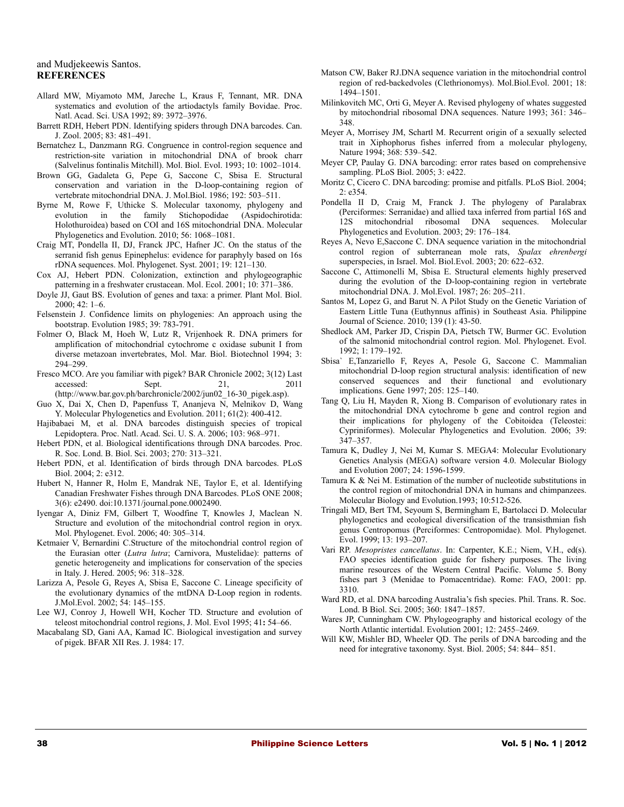#### and Mudjekeewis Santos. **REFERENCES**

- Allard MW, Miyamoto MM, Jareche L, Kraus F, Tennant, MR. DNA systematics and evolution of the artiodactyls family Bovidae. Proc. Natl. Acad. Sci. USA 1992; 89: 3972–3976.
- Barrett RDH, Hebert PDN. Identifying spiders through DNA barcodes. Can. J. Zool. 2005; 83: 481–491.
- Bernatchez L, Danzmann RG. Congruence in control-region sequence and restriction-site variation in mitochondrial DNA of brook charr (Salvelinus fontinalis Mitchill). Mol. Biol. Evol. 1993; 10: 1002–1014.
- Brown GG, Gadaleta G, Pepe G, Saccone C, Sbisa E. Structural conservation and variation in the D-loop-containing region of vertebrate mitochondrial DNA. J. Mol.Biol. 1986; 192: 503–511.
- Byrne M, Rowe F, Uthicke S. Molecular taxonomy, phylogeny and evolution in the family Stichopodidae (Aspidochirotida: Holothuroidea) based on COI and 16S mitochondrial DNA. Molecular Phylogenetics and Evolution. 2010; 56: 1068–1081.
- Craig MT, Pondella II, DJ, Franck JPC, Hafner JC. On the status of the serranid fish genus Epinephelus: evidence for paraphyly based on 16s rDNA sequences. Mol. Phylogenet. Syst. 2001; 19: 121–130.
- Cox AJ, Hebert PDN. Colonization, extinction and phylogeographic patterning in a freshwater crustacean. Mol. Ecol. 2001; 10: 371–386.
- Doyle JJ, Gaut BS. Evolution of genes and taxa: a primer. Plant Mol. Biol. 2000; 42: 1–6.
- Felsenstein J. Confidence limits on phylogenies: An approach using the bootstrap. Evolution 1985; 39: 783-791.
- Folmer O, Black M, Hoeh W, Lutz R, Vrijenhoek R. DNA primers for amplification of mitochondrial cytochrome c oxidase subunit I from diverse metazoan invertebrates, Mol. Mar. Biol. Biotechnol 1994; 3: 294–299.
- Fresco MCO. Are you familiar with pigek? BAR Chronicle 2002; 3(12) Last accessed: Sept. 21, 2011 (http://www.bar.gov.ph/barchronicle/2002/jun02\_16-30\_pigek.asp).
- Guo X, Dai X, Chen D, Papenfuss T, Ananjeva N, Melnikov D, Wang Y. Molecular Phylogenetics and Evolution. 2011; 61(2): 400-412.
- Hajibabaei M, et al. DNA barcodes distinguish species of tropical Lepidoptera. Proc. Natl. Acad. Sci. U. S. A. 2006; 103: 968–971.
- Hebert PDN, et al. Biological identifications through DNA barcodes. Proc. R. Soc. Lond. B. Biol. Sci. 2003; 270: 313–321.
- Hebert PDN, et al. Identification of birds through DNA barcodes. PLoS Biol. 2004; 2: e312.
- Hubert N, Hanner R, Holm E, Mandrak NE, Taylor E, et al. Identifying Canadian Freshwater Fishes through DNA Barcodes. PLoS ONE 2008; 3(6): e2490. doi:10.1371/journal.pone.0002490.
- Iyengar A, Diniz FM, Gilbert T, Woodfine T, Knowles J, Maclean N. Structure and evolution of the mitochondrial control region in oryx. Mol. Phylogenet. Evol. 2006; 40: 305–314.
- Ketmaier V, Bernardini C.Structure of the mitochondrial control region of the Eurasian otter (*Lutra lutra*; Carnivora, Mustelidae): patterns of genetic heterogeneity and implications for conservation of the species in Italy. J. Hered. 2005; 96: 318–328.
- Larizza A, Pesole G, Reyes A, Sbisa E, Saccone C. Lineage specificity of the evolutionary dynamics of the mtDNA D-Loop region in rodents. J.Mol.Evol. 2002; 54: 145–155.
- Lee WJ, Conroy J, Howell WH, Kocher TD. Structure and evolution of teleost mitochondrial control regions, J. Mol. Evol 1995; 41**:** 54–66.
- Macabalang SD, Gani AA, Kamad IC. Biological investigation and survey of pigek. BFAR XII Res. J. 1984: 17.
- Matson CW, Baker RJ.DNA sequence variation in the mitochondrial control region of red-backedvoles (Clethrionomys). Mol.Biol.Evol. 2001; 18: 1494–1501.
- Milinkovitch MC, Orti G, Meyer A. Revised phylogeny of whates suggested by mitochondrial ribosomal DNA sequences. Nature 1993; 361: 346– 348.
- Meyer A, Morrisey JM, Schartl M. Recurrent origin of a sexually selected trait in Xiphophorus fishes inferred from a molecular phylogeny, Nature 1994; 368: 539–542.
- Meyer CP, Paulay G. DNA barcoding: error rates based on comprehensive sampling. PLoS Biol. 2005; 3: e422.
- Moritz C, Cicero C. DNA barcoding: promise and pitfalls. PLoS Biol. 2004; 2: e354.
- Pondella II D, Craig M, Franck J. The phylogeny of Paralabrax (Perciformes: Serranidae) and allied taxa inferred from partial 16S and 12S mitochondrial ribosomal DNA sequences. Molecular Phylogenetics and Evolution. 2003; 29: 176–184.
- Reyes A, Nevo E,Saccone C. DNA sequence variation in the mitochondrial control region of subterranean mole rats, *Spalax ehrenbergi* superspecies, in Israel. Mol. Biol.Evol. 2003; 20: 622–632.
- Saccone C, Attimonelli M, Sbisa E. Structural elements highly preserved during the evolution of the D-loop-containing region in vertebrate mitochondrial DNA. J. Mol.Evol. 1987; 26: 205–211.
- Santos M, Lopez G, and Barut N. A Pilot Study on the Genetic Variation of Eastern Little Tuna (Euthynnus affinis) in Southeast Asia. Philippine Journal of Science. 2010; 139 (1): 43-50.
- Shedlock AM, Parker JD, Crispin DA, Pietsch TW, Burmer GC. Evolution of the salmonid mitochondrial control region. Mol. Phylogenet. Evol. 1992; 1: 179–192.
- Sbisa` E,Tanzariello F, Reyes A, Pesole G, Saccone C. Mammalian mitochondrial D-loop region structural analysis: identification of new conserved sequences and their functional and evolutionary implications. Gene 1997; 205: 125–140.
- Tang Q, Liu H, Mayden R, Xiong B. Comparison of evolutionary rates in the mitochondrial DNA cytochrome b gene and control region and their implications for phylogeny of the Cobitoidea (Teleostei: Cypriniformes). Molecular Phylogenetics and Evolution. 2006; 39: 347–357.
- Tamura K, Dudley J, Nei M, Kumar S. MEGA4: Molecular Evolutionary Genetics Analysis (MEGA) software version 4.0. Molecular Biology and Evolution 2007; 24: 1596-1599.
- Tamura K & Nei M. Estimation of the number of nucleotide substitutions in the control region of mitochondrial DNA in humans and chimpanzees. Molecular Biology and Evolution.1993; 10:512-526.
- Tringali MD, Bert TM, Seyoum S, Bermingham E, Bartolacci D. Molecular phylogenetics and ecological diversification of the transisthmian fish genus Centropomus (Perciformes: Centropomidae). Mol. Phylogenet. Evol. 1999; 13: 193–207.
- Vari RP. *Mesopristes cancellatus*. In: Carpenter, K.E.; Niem, V.H., ed(s). FAO species identification guide for fishery purposes. The living marine resources of the Western Central Pacific. Volume 5. Bony fishes part 3 (Menidae to Pomacentridae). Rome: FAO, 2001: pp. 3310.
- Ward RD, et al. DNA barcoding Australia's fish species. Phil. Trans. R. Soc. Lond. B Biol. Sci. 2005; 360: 1847–1857.
- Wares JP, Cunningham CW. Phylogeography and historical ecology of the North Atlantic intertidal. Evolution 2001; 12: 2455–2469.
- Will KW, Mishler BD, Wheeler QD. The perils of DNA barcoding and the need for integrative taxonomy. Syst. Biol. 2005; 54: 844– 851.